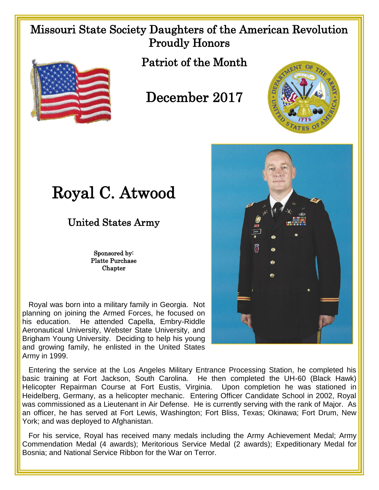## Missouri State Society Daughters of the American Revolution Proudly Honors



Patriot of the Month

## December 2017



## Royal C. Atwood

United States Army

Sponsored by: Platte Purchase **Chapter** 

 Royal was born into a military family in Georgia. Not planning on joining the Armed Forces, he focused on his education. He attended Capella, Embry-Riddle Aeronautical University, Webster State University, and Brigham Young University. Deciding to help his young and growing family, he enlisted in the United States Army in 1999.



 Entering the service at the Los Angeles Military Entrance Processing Station, he completed his basic training at Fort Jackson, South Carolina. He then completed the UH-60 (Black Hawk) Helicopter Repairman Course at Fort Eustis, Virginia. Upon completion he was stationed in Heidelberg, Germany, as a helicopter mechanic. Entering Officer Candidate School in 2002, Royal was commissioned as a Lieutenant in Air Defense. He is currently serving with the rank of Major. As an officer, he has served at Fort Lewis, Washington; Fort Bliss, Texas; Okinawa; Fort Drum, New York; and was deployed to Afghanistan.

 For his service, Royal has received many medals including the Army Achievement Medal; Army Commendation Medal (4 awards); Meritorious Service Medal (2 awards); Expeditionary Medal for Bosnia; and National Service Ribbon for the War on Terror.